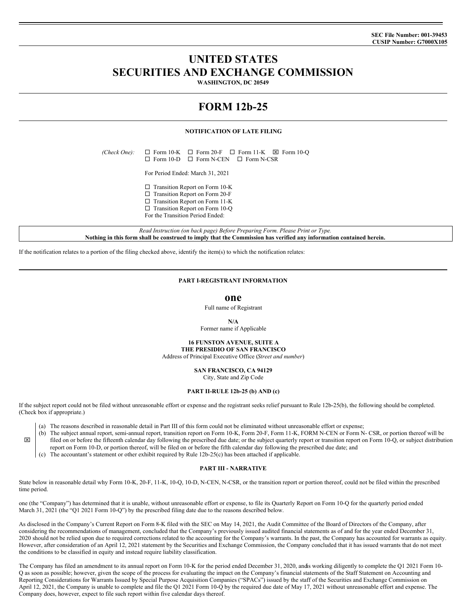**SEC File Number: 001-39453 CUSIP Number: G7000X105**

# **UNITED STATES SECURITIES AND EXCHANGE COMMISSION**

**WASHINGTON, DC 20549**

# **FORM 12b-25**

## **NOTIFICATION OF LATE FILING**

 $(Check One): \Box$  Form 10-K  $\Box$  Form 20-F  $\Box$  Form 11-K  $\boxtimes$  Form 10-Q  $\square$  Form 10-D  $\square$  Form N-CEN  $\square$  Form N-CSR

For Period Ended: March 31, 2021

- $\square$  Transition Report on Form 10-K  $\square$  Transition Report on Form 20-F
- $\square$  Transition Report on Form 11-K
- $\square$  Transition Report on Form 10-Q
- For the Transition Period Ended:

*Read Instruction (on back page) Before Preparing Form. Please Print or Type.* Nothing in this form shall be construed to imply that the Commission has verified any information contained herein.

If the notification relates to a portion of the filing checked above, identify the item(s) to which the notification relates:

## **PART I-REGISTRANT INFORMATION**

**one**

Full name of Registrant

#### **N/A**

Former name if Applicable

**16 FUNSTON AVENUE, SUITE A THE PRESIDIO OF SAN FRANCISCO** Address of Principal Executive Office (*Street and number*)

> **SAN FRANCISCO, CA 94129** City, State and Zip Code

## **PART II-RULE 12b-25 (b) AND (c)**

If the subject report could not be filed without unreasonable effort or expense and the registrant seeks relief pursuant to Rule 12b-25(b), the following should be completed. (Check box if appropriate.)

- (a) The reasons described in reasonable detail in Part III of this form could not be eliminated without unreasonable effort or expense;
- x (b) The subject annual report, semi-annual report, transition report on Form 10-K, Form 20-F, Form 11-K, FORM N-CEN or Form N- CSR, or portion thereof will be filed on or before the fifteenth calendar day following the prescribed due date; or the subject quarterly report or transition report on Form 10-Q, or subject distribution
	- report on Form 10-D, or portion thereof, will be filed on or before the fifth calendar day following the prescribed due date; and
	- (c) The accountant's statement or other exhibit required by Rule 12b-25(c) has been attached if applicable.

# **PART III - NARRATIVE**

State below in reasonable detail why Form 10-K, 20-F, 11-K, 10-Q, 10-D, N-CEN, N-CSR, or the transition report or portion thereof, could not be filed within the prescribed time period.

one (the "Company") has determined that it is unable, without unreasonable effort or expense, to file its Quarterly Report on Form 10-Q for the quarterly period ended March 31, 2021 (the "Q1 2021 Form 10-Q") by the prescribed filing date due to the reasons described below.

As disclosed in the Company's Current Report on Form 8-K filed with the SEC on May 14, 2021, the Audit Committee of the Board of Directors of the Company, after considering the recommendations of management, concluded that the Company's previously issued audited financial statements as of and for the year ended December 31, 2020 should not be relied upon due to required corrections related to the accounting for the Company's warrants. In the past, the Company has accounted for warrants as equity. However, after consideration of an April 12, 2021 statement by the Securities and Exchange Commission, the Company concluded that it has issued warrants that do not meet the conditions to be classified in equity and instead require liability classification.

The Company has filed an amendment to its annual report on Form 10-K for the period ended December 31, 2020, and is working diligently to complete the Q1 2021 Form 10-Q as soon as possible; however, given the scope of the process for evaluating the impact on the Company's financial statements of the Staff Statement on Accounting and Reporting Considerations for Warrants Issued by Special Purpose Acquisition Companies ("SPACs") issued by the staff of the Securities and Exchange Commission on April 12, 2021, the Company is unable to complete and file the Q1 2021 Form 10-Q by the required due date of May 17, 2021 without unreasonable effort and expense. The Company does, however, expect to file such report within five calendar days thereof.